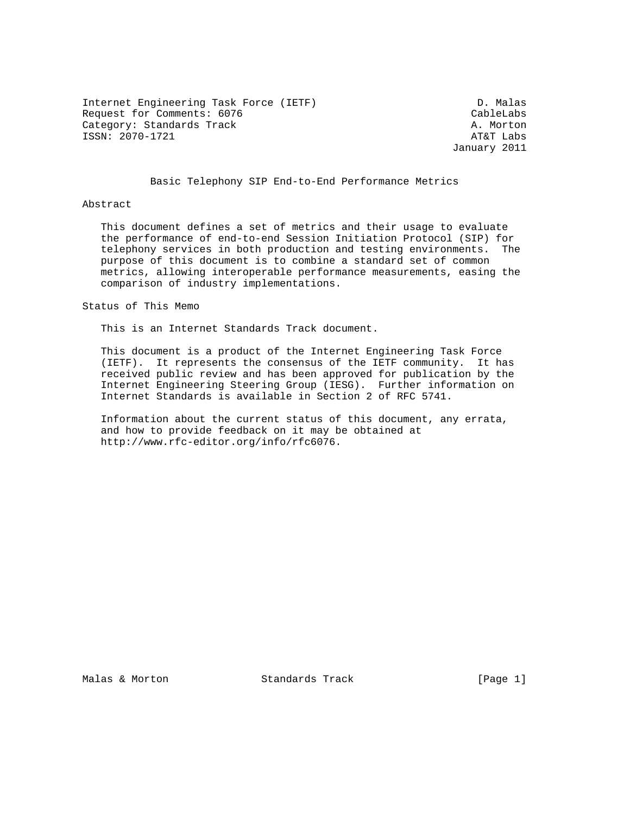Internet Engineering Task Force (IETF) D. Malas Request for Comments: 6076 CableLabs Category: Standards Track A. Morton ISSN: 2070-1721 AT&T Labs

January 2011

## Basic Telephony SIP End-to-End Performance Metrics

#### Abstract

 This document defines a set of metrics and their usage to evaluate the performance of end-to-end Session Initiation Protocol (SIP) for telephony services in both production and testing environments. The purpose of this document is to combine a standard set of common metrics, allowing interoperable performance measurements, easing the comparison of industry implementations.

Status of This Memo

This is an Internet Standards Track document.

 This document is a product of the Internet Engineering Task Force (IETF). It represents the consensus of the IETF community. It has received public review and has been approved for publication by the Internet Engineering Steering Group (IESG). Further information on Internet Standards is available in Section 2 of RFC 5741.

 Information about the current status of this document, any errata, and how to provide feedback on it may be obtained at http://www.rfc-editor.org/info/rfc6076.

Malas & Morton **Standards Track** [Page 1]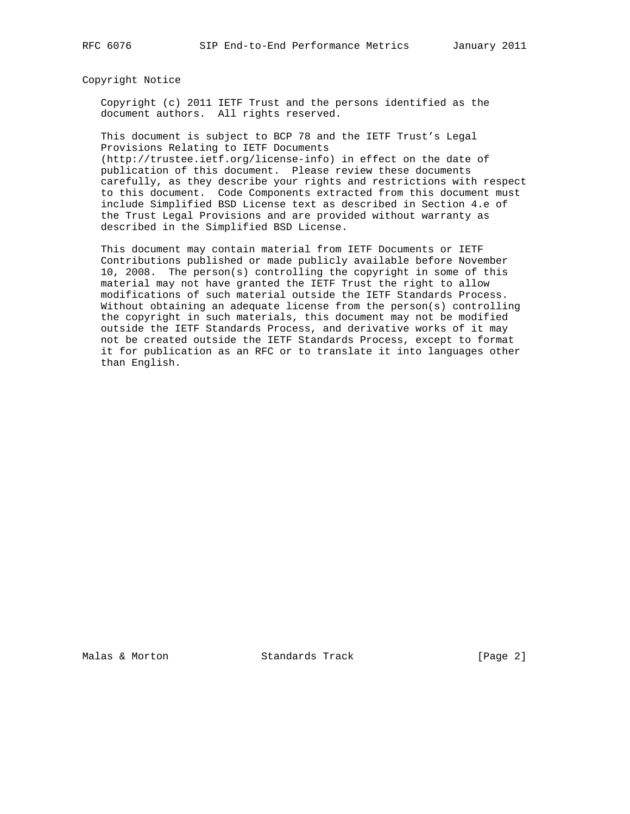#### Copyright Notice

 Copyright (c) 2011 IETF Trust and the persons identified as the document authors. All rights reserved.

 This document is subject to BCP 78 and the IETF Trust's Legal Provisions Relating to IETF Documents

 (http://trustee.ietf.org/license-info) in effect on the date of publication of this document. Please review these documents carefully, as they describe your rights and restrictions with respect to this document. Code Components extracted from this document must include Simplified BSD License text as described in Section 4.e of the Trust Legal Provisions and are provided without warranty as described in the Simplified BSD License.

 This document may contain material from IETF Documents or IETF Contributions published or made publicly available before November 10, 2008. The person(s) controlling the copyright in some of this material may not have granted the IETF Trust the right to allow modifications of such material outside the IETF Standards Process. Without obtaining an adequate license from the person(s) controlling the copyright in such materials, this document may not be modified outside the IETF Standards Process, and derivative works of it may not be created outside the IETF Standards Process, except to format it for publication as an RFC or to translate it into languages other than English.

Malas & Morton **Standards Track** [Page 2]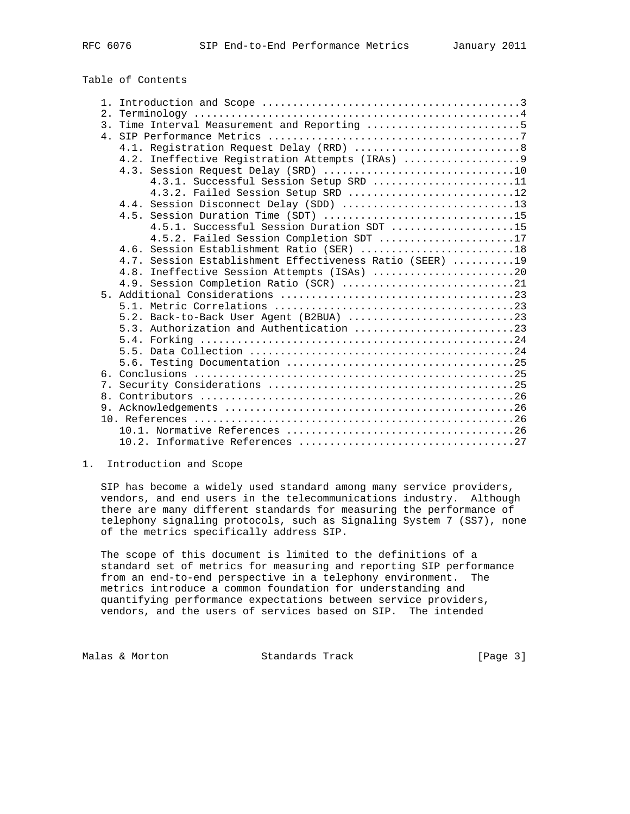Table of Contents

| 2. |                                                          |
|----|----------------------------------------------------------|
|    | 3. Time Interval Measurement and Reporting 5             |
|    |                                                          |
|    |                                                          |
|    | 4.2. Ineffective Registration Attempts (IRAs)  9         |
|    |                                                          |
|    | 4.3.1. Successful Session Setup SRD 11                   |
|    | 4.3.2. Failed Session Setup SRD 12                       |
|    | 4.4. Session Disconnect Delay (SDD) 13                   |
|    | 4.5. Session Duration Time (SDT) 15                      |
|    | 4.5.1. Successful Session Duration SDT 15                |
|    | 4.5.2. Failed Session Completion SDT 17                  |
|    | 4.6. Session Establishment Ratio (SER) 18                |
|    | 4.7. Session Establishment Effectiveness Ratio (SEER) 19 |
|    | 4.8. Ineffective Session Attempts (ISAs) 20              |
|    | 4.9. Session Completion Ratio (SCR) 21                   |
|    |                                                          |
|    |                                                          |
|    | 5.2. Back-to-Back User Agent (B2BUA) 23                  |
|    | 5.3. Authorization and Authentication 23                 |
|    |                                                          |
|    |                                                          |
|    |                                                          |
|    |                                                          |
|    |                                                          |
|    |                                                          |
|    |                                                          |
|    |                                                          |
|    |                                                          |
|    |                                                          |

### 1. Introduction and Scope

 SIP has become a widely used standard among many service providers, vendors, and end users in the telecommunications industry. Although there are many different standards for measuring the performance of telephony signaling protocols, such as Signaling System 7 (SS7), none of the metrics specifically address SIP.

 The scope of this document is limited to the definitions of a standard set of metrics for measuring and reporting SIP performance from an end-to-end perspective in a telephony environment. The metrics introduce a common foundation for understanding and quantifying performance expectations between service providers, vendors, and the users of services based on SIP. The intended

Malas & Morton **Standards Track** [Page 3]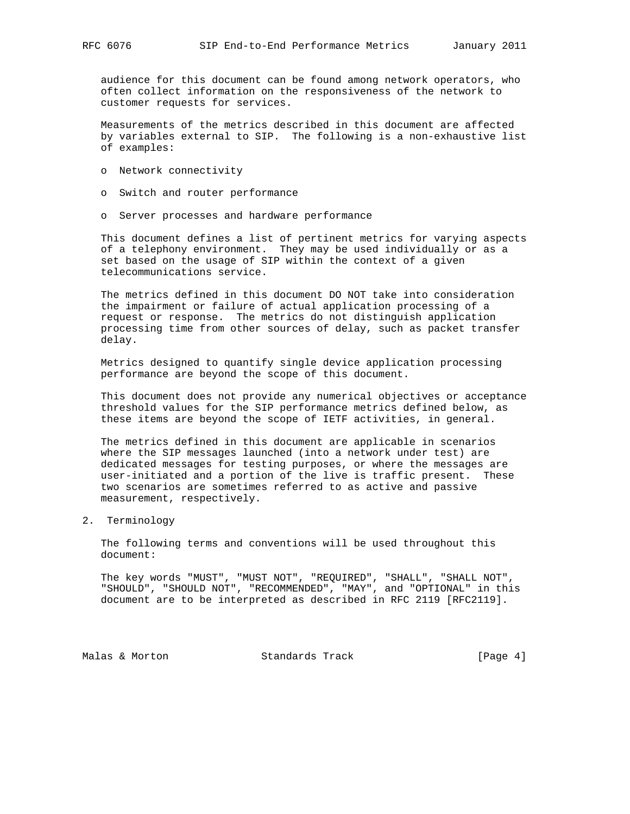audience for this document can be found among network operators, who often collect information on the responsiveness of the network to customer requests for services.

 Measurements of the metrics described in this document are affected by variables external to SIP. The following is a non-exhaustive list of examples:

- o Network connectivity
- o Switch and router performance
- o Server processes and hardware performance

 This document defines a list of pertinent metrics for varying aspects of a telephony environment. They may be used individually or as a set based on the usage of SIP within the context of a given telecommunications service.

 The metrics defined in this document DO NOT take into consideration the impairment or failure of actual application processing of a request or response. The metrics do not distinguish application processing time from other sources of delay, such as packet transfer delay.

 Metrics designed to quantify single device application processing performance are beyond the scope of this document.

 This document does not provide any numerical objectives or acceptance threshold values for the SIP performance metrics defined below, as these items are beyond the scope of IETF activities, in general.

 The metrics defined in this document are applicable in scenarios where the SIP messages launched (into a network under test) are dedicated messages for testing purposes, or where the messages are user-initiated and a portion of the live is traffic present. These two scenarios are sometimes referred to as active and passive measurement, respectively.

2. Terminology

 The following terms and conventions will be used throughout this document:

 The key words "MUST", "MUST NOT", "REQUIRED", "SHALL", "SHALL NOT", "SHOULD", "SHOULD NOT", "RECOMMENDED", "MAY", and "OPTIONAL" in this document are to be interpreted as described in RFC 2119 [RFC2119].

Malas & Morton **Standards Track** [Page 4]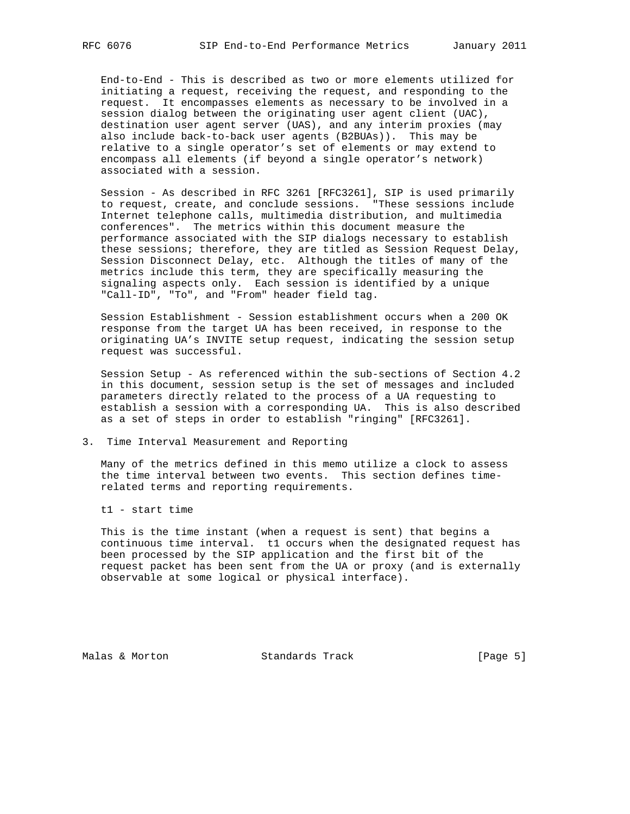End-to-End - This is described as two or more elements utilized for initiating a request, receiving the request, and responding to the request. It encompasses elements as necessary to be involved in a session dialog between the originating user agent client (UAC), destination user agent server (UAS), and any interim proxies (may also include back-to-back user agents (B2BUAs)). This may be relative to a single operator's set of elements or may extend to encompass all elements (if beyond a single operator's network) associated with a session.

 Session - As described in RFC 3261 [RFC3261], SIP is used primarily to request, create, and conclude sessions. "These sessions include Internet telephone calls, multimedia distribution, and multimedia conferences". The metrics within this document measure the performance associated with the SIP dialogs necessary to establish these sessions; therefore, they are titled as Session Request Delay, Session Disconnect Delay, etc. Although the titles of many of the metrics include this term, they are specifically measuring the signaling aspects only. Each session is identified by a unique "Call-ID", "To", and "From" header field tag.

 Session Establishment - Session establishment occurs when a 200 OK response from the target UA has been received, in response to the originating UA's INVITE setup request, indicating the session setup request was successful.

 Session Setup - As referenced within the sub-sections of Section 4.2 in this document, session setup is the set of messages and included parameters directly related to the process of a UA requesting to establish a session with a corresponding UA. This is also described as a set of steps in order to establish "ringing" [RFC3261].

#### 3. Time Interval Measurement and Reporting

 Many of the metrics defined in this memo utilize a clock to assess the time interval between two events. This section defines time related terms and reporting requirements.

t1 - start time

 This is the time instant (when a request is sent) that begins a continuous time interval. t1 occurs when the designated request has been processed by the SIP application and the first bit of the request packet has been sent from the UA or proxy (and is externally observable at some logical or physical interface).

Malas & Morton **Standards Track** [Page 5]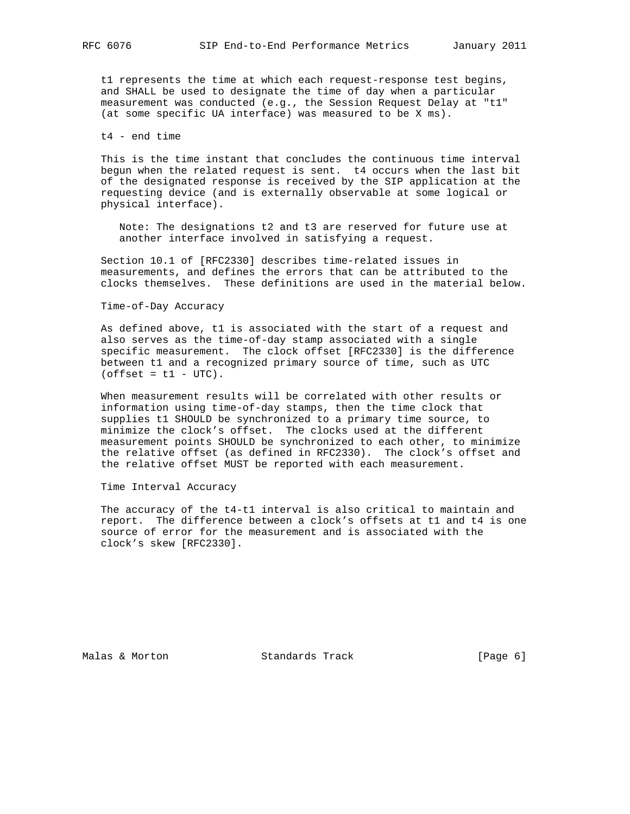t1 represents the time at which each request-response test begins, and SHALL be used to designate the time of day when a particular measurement was conducted (e.g., the Session Request Delay at "t1" (at some specific UA interface) was measured to be X ms).

### t4 - end time

 This is the time instant that concludes the continuous time interval begun when the related request is sent. t4 occurs when the last bit of the designated response is received by the SIP application at the requesting device (and is externally observable at some logical or physical interface).

 Note: The designations t2 and t3 are reserved for future use at another interface involved in satisfying a request.

 Section 10.1 of [RFC2330] describes time-related issues in measurements, and defines the errors that can be attributed to the clocks themselves. These definitions are used in the material below.

#### Time-of-Day Accuracy

 As defined above, t1 is associated with the start of a request and also serves as the time-of-day stamp associated with a single specific measurement. The clock offset [RFC2330] is the difference between t1 and a recognized primary source of time, such as UTC  $(offset = t1 - UTC)$ .

 When measurement results will be correlated with other results or information using time-of-day stamps, then the time clock that supplies t1 SHOULD be synchronized to a primary time source, to minimize the clock's offset. The clocks used at the different measurement points SHOULD be synchronized to each other, to minimize the relative offset (as defined in RFC2330). The clock's offset and the relative offset MUST be reported with each measurement.

Time Interval Accuracy

 The accuracy of the t4-t1 interval is also critical to maintain and report. The difference between a clock's offsets at t1 and t4 is one source of error for the measurement and is associated with the clock's skew [RFC2330].

Malas & Morton **Standards Track** [Page 6]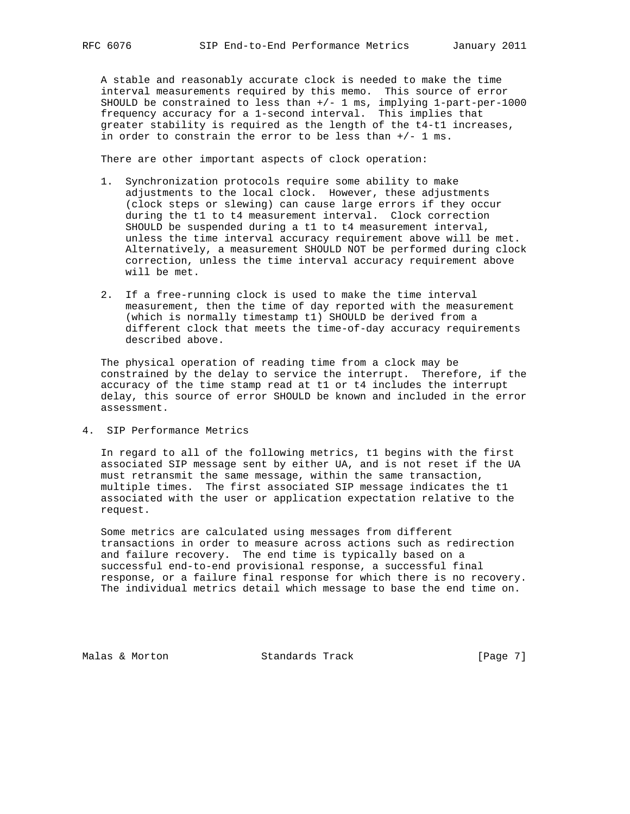A stable and reasonably accurate clock is needed to make the time interval measurements required by this memo. This source of error SHOULD be constrained to less than  $+/- 1$  ms, implying 1-part-per-1000 frequency accuracy for a 1-second interval. This implies that greater stability is required as the length of the t4-t1 increases, in order to constrain the error to be less than +/- 1 ms.

There are other important aspects of clock operation:

- 1. Synchronization protocols require some ability to make adjustments to the local clock. However, these adjustments (clock steps or slewing) can cause large errors if they occur during the t1 to t4 measurement interval. Clock correction SHOULD be suspended during a t1 to t4 measurement interval, unless the time interval accuracy requirement above will be met. Alternatively, a measurement SHOULD NOT be performed during clock correction, unless the time interval accuracy requirement above will be met.
- 2. If a free-running clock is used to make the time interval measurement, then the time of day reported with the measurement (which is normally timestamp t1) SHOULD be derived from a different clock that meets the time-of-day accuracy requirements described above.

 The physical operation of reading time from a clock may be constrained by the delay to service the interrupt. Therefore, if the accuracy of the time stamp read at t1 or t4 includes the interrupt delay, this source of error SHOULD be known and included in the error assessment.

4. SIP Performance Metrics

 In regard to all of the following metrics, t1 begins with the first associated SIP message sent by either UA, and is not reset if the UA must retransmit the same message, within the same transaction, multiple times. The first associated SIP message indicates the t1 associated with the user or application expectation relative to the request.

 Some metrics are calculated using messages from different transactions in order to measure across actions such as redirection and failure recovery. The end time is typically based on a successful end-to-end provisional response, a successful final response, or a failure final response for which there is no recovery. The individual metrics detail which message to base the end time on.

Malas & Morton **Standards Track** [Page 7]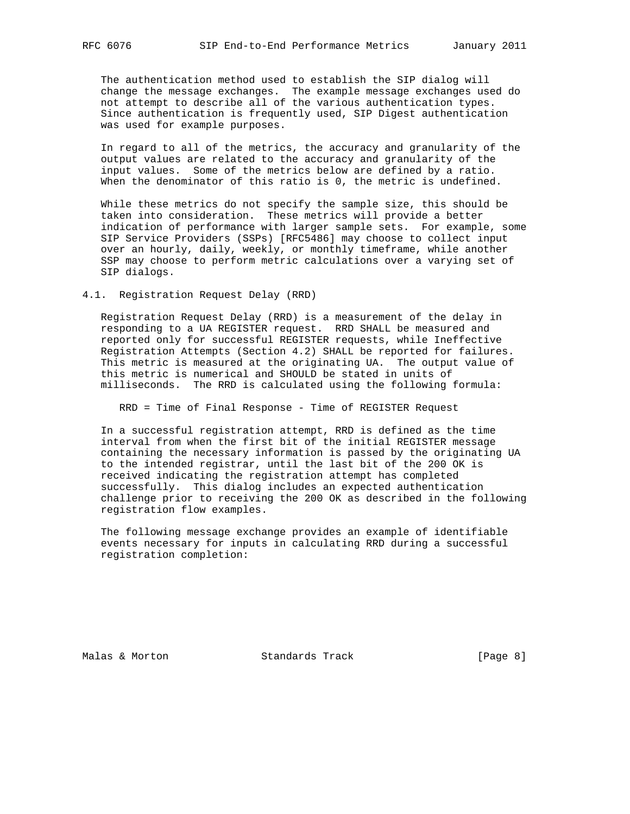The authentication method used to establish the SIP dialog will change the message exchanges. The example message exchanges used do not attempt to describe all of the various authentication types. Since authentication is frequently used, SIP Digest authentication was used for example purposes.

 In regard to all of the metrics, the accuracy and granularity of the output values are related to the accuracy and granularity of the input values. Some of the metrics below are defined by a ratio. When the denominator of this ratio is 0, the metric is undefined.

 While these metrics do not specify the sample size, this should be taken into consideration. These metrics will provide a better indication of performance with larger sample sets. For example, some SIP Service Providers (SSPs) [RFC5486] may choose to collect input over an hourly, daily, weekly, or monthly timeframe, while another SSP may choose to perform metric calculations over a varying set of SIP dialogs.

4.1. Registration Request Delay (RRD)

 Registration Request Delay (RRD) is a measurement of the delay in responding to a UA REGISTER request. RRD SHALL be measured and reported only for successful REGISTER requests, while Ineffective Registration Attempts (Section 4.2) SHALL be reported for failures. This metric is measured at the originating UA. The output value of this metric is numerical and SHOULD be stated in units of milliseconds. The RRD is calculated using the following formula:

RRD = Time of Final Response - Time of REGISTER Request

 In a successful registration attempt, RRD is defined as the time interval from when the first bit of the initial REGISTER message containing the necessary information is passed by the originating UA to the intended registrar, until the last bit of the 200 OK is received indicating the registration attempt has completed successfully. This dialog includes an expected authentication challenge prior to receiving the 200 OK as described in the following registration flow examples.

 The following message exchange provides an example of identifiable events necessary for inputs in calculating RRD during a successful registration completion:

Malas & Morton **Standards Track** [Page 8]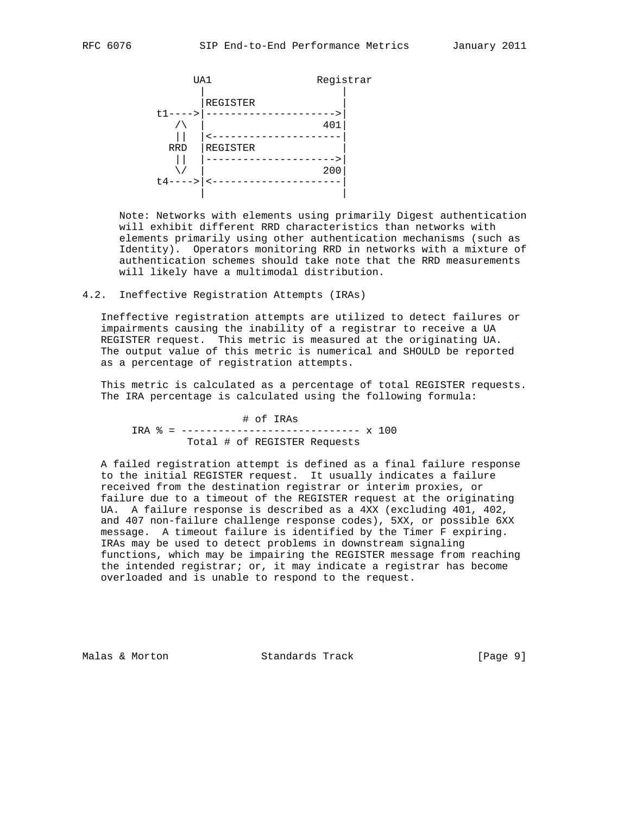

 Note: Networks with elements using primarily Digest authentication will exhibit different RRD characteristics than networks with elements primarily using other authentication mechanisms (such as Identity). Operators monitoring RRD in networks with a mixture of authentication schemes should take note that the RRD measurements will likely have a multimodal distribution.

4.2. Ineffective Registration Attempts (IRAs)

 Ineffective registration attempts are utilized to detect failures or impairments causing the inability of a registrar to receive a UA REGISTER request. This metric is measured at the originating UA. The output value of this metric is numerical and SHOULD be reported as a percentage of registration attempts.

 This metric is calculated as a percentage of total REGISTER requests. The IRA percentage is calculated using the following formula:

 # of IRAs IRA % = ----------------------------- x 100 Total # of REGISTER Requests

 A failed registration attempt is defined as a final failure response to the initial REGISTER request. It usually indicates a failure received from the destination registrar or interim proxies, or failure due to a timeout of the REGISTER request at the originating UA. A failure response is described as a 4XX (excluding 401, 402, and 407 non-failure challenge response codes), 5XX, or possible 6XX message. A timeout failure is identified by the Timer F expiring. IRAs may be used to detect problems in downstream signaling functions, which may be impairing the REGISTER message from reaching the intended registrar; or, it may indicate a registrar has become overloaded and is unable to respond to the request.

Malas & Morton **Standards Track** [Page 9]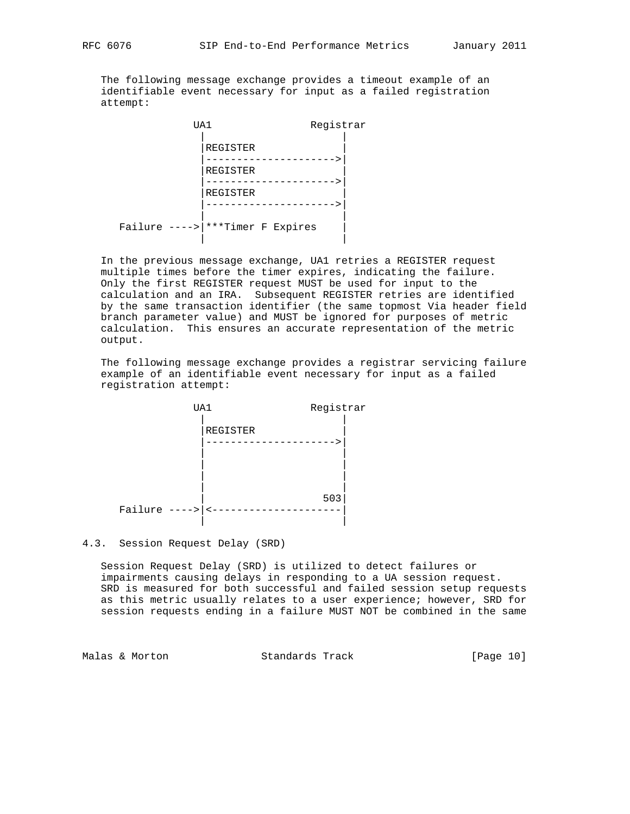The following message exchange provides a timeout example of an identifiable event necessary for input as a failed registration attempt:

| UA1 | Registrar                           |  |
|-----|-------------------------------------|--|
|     | REGISTER<br>REGISTER<br>REGISTER    |  |
|     |                                     |  |
|     | Failure ---->   *** Timer F Expires |  |

 In the previous message exchange, UA1 retries a REGISTER request multiple times before the timer expires, indicating the failure. Only the first REGISTER request MUST be used for input to the calculation and an IRA. Subsequent REGISTER retries are identified by the same transaction identifier (the same topmost Via header field branch parameter value) and MUST be ignored for purposes of metric calculation. This ensures an accurate representation of the metric output.

 The following message exchange provides a registrar servicing failure example of an identifiable event necessary for input as a failed registration attempt:



4.3. Session Request Delay (SRD)

 Session Request Delay (SRD) is utilized to detect failures or impairments causing delays in responding to a UA session request. SRD is measured for both successful and failed session setup requests as this metric usually relates to a user experience; however, SRD for session requests ending in a failure MUST NOT be combined in the same

Malas & Morton Standards Track [Page 10]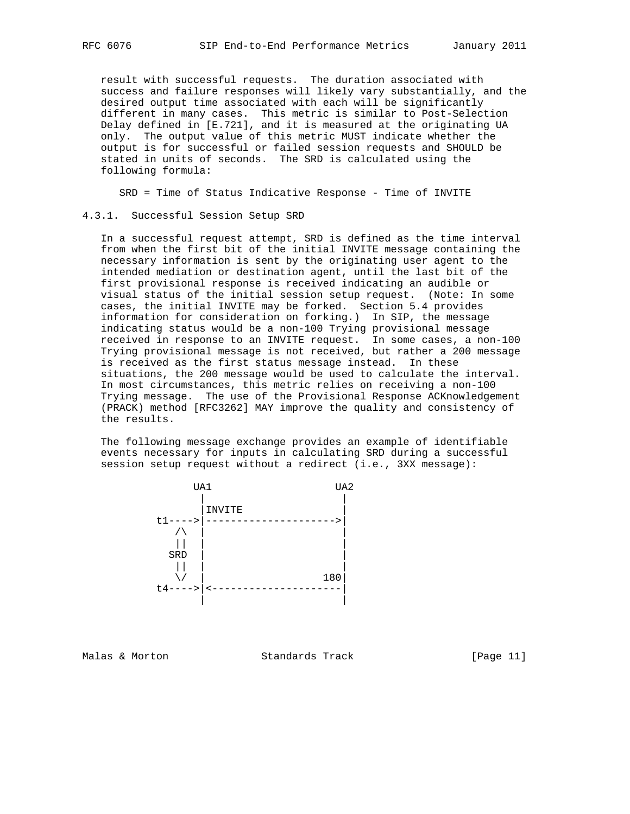result with successful requests. The duration associated with success and failure responses will likely vary substantially, and the desired output time associated with each will be significantly different in many cases. This metric is similar to Post-Selection Delay defined in [E.721], and it is measured at the originating UA only. The output value of this metric MUST indicate whether the output is for successful or failed session requests and SHOULD be stated in units of seconds. The SRD is calculated using the following formula:

SRD = Time of Status Indicative Response - Time of INVITE

#### 4.3.1. Successful Session Setup SRD

 In a successful request attempt, SRD is defined as the time interval from when the first bit of the initial INVITE message containing the necessary information is sent by the originating user agent to the intended mediation or destination agent, until the last bit of the first provisional response is received indicating an audible or visual status of the initial session setup request. (Note: In some cases, the initial INVITE may be forked. Section 5.4 provides information for consideration on forking.) In SIP, the message indicating status would be a non-100 Trying provisional message received in response to an INVITE request. In some cases, a non-100 Trying provisional message is not received, but rather a 200 message is received as the first status message instead. In these situations, the 200 message would be used to calculate the interval. In most circumstances, this metric relies on receiving a non-100 Trying message. The use of the Provisional Response ACKnowledgement (PRACK) method [RFC3262] MAY improve the quality and consistency of the results.

 The following message exchange provides an example of identifiable events necessary for inputs in calculating SRD during a successful session setup request without a redirect (i.e., 3XX message):



Malas & Morton Standards Track [Page 11]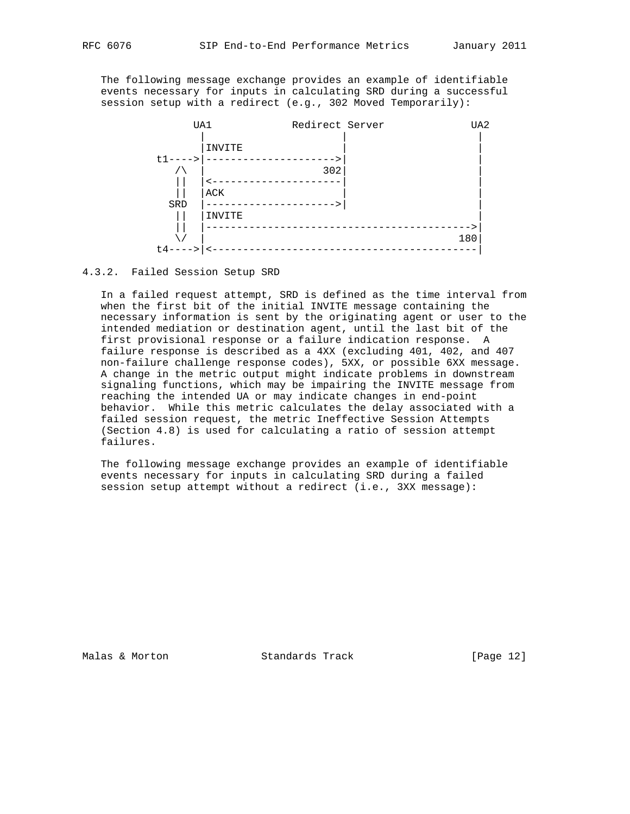The following message exchange provides an example of identifiable events necessary for inputs in calculating SRD during a successful session setup with a redirect (e.g., 302 Moved Temporarily):



4.3.2. Failed Session Setup SRD

 In a failed request attempt, SRD is defined as the time interval from when the first bit of the initial INVITE message containing the necessary information is sent by the originating agent or user to the intended mediation or destination agent, until the last bit of the first provisional response or a failure indication response. A failure response is described as a 4XX (excluding 401, 402, and 407 non-failure challenge response codes), 5XX, or possible 6XX message. A change in the metric output might indicate problems in downstream signaling functions, which may be impairing the INVITE message from reaching the intended UA or may indicate changes in end-point behavior. While this metric calculates the delay associated with a failed session request, the metric Ineffective Session Attempts (Section 4.8) is used for calculating a ratio of session attempt failures.

 The following message exchange provides an example of identifiable events necessary for inputs in calculating SRD during a failed session setup attempt without a redirect (i.e., 3XX message):

Malas & Morton Standards Track [Page 12]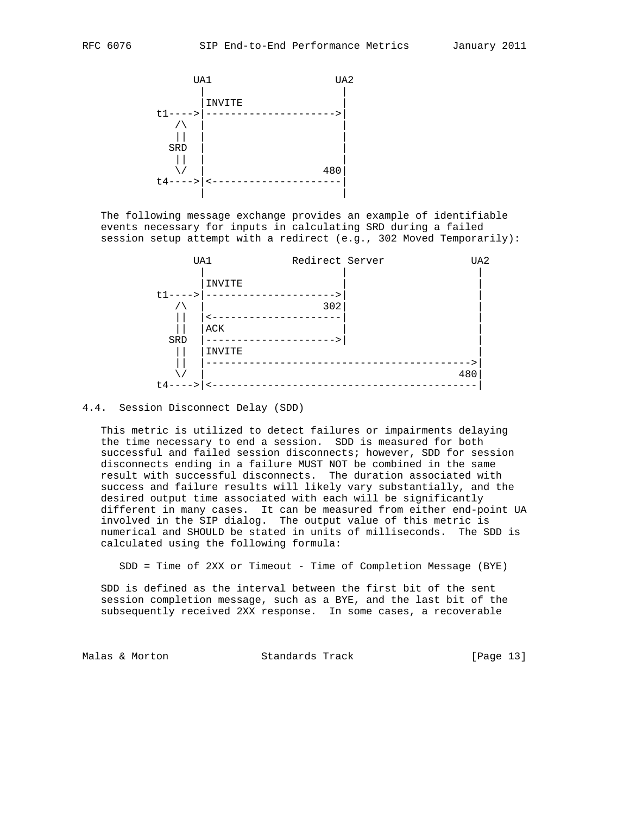

 The following message exchange provides an example of identifiable events necessary for inputs in calculating SRD during a failed session setup attempt with a redirect (e.g., 302 Moved Temporarily):



#### 4.4. Session Disconnect Delay (SDD)

 This metric is utilized to detect failures or impairments delaying the time necessary to end a session. SDD is measured for both successful and failed session disconnects; however, SDD for session disconnects ending in a failure MUST NOT be combined in the same result with successful disconnects. The duration associated with success and failure results will likely vary substantially, and the desired output time associated with each will be significantly different in many cases. It can be measured from either end-point UA involved in the SIP dialog. The output value of this metric is numerical and SHOULD be stated in units of milliseconds. The SDD is calculated using the following formula:

SDD = Time of 2XX or Timeout - Time of Completion Message (BYE)

 SDD is defined as the interval between the first bit of the sent session completion message, such as a BYE, and the last bit of the subsequently received 2XX response. In some cases, a recoverable

Malas & Morton **Standards Track** [Page 13]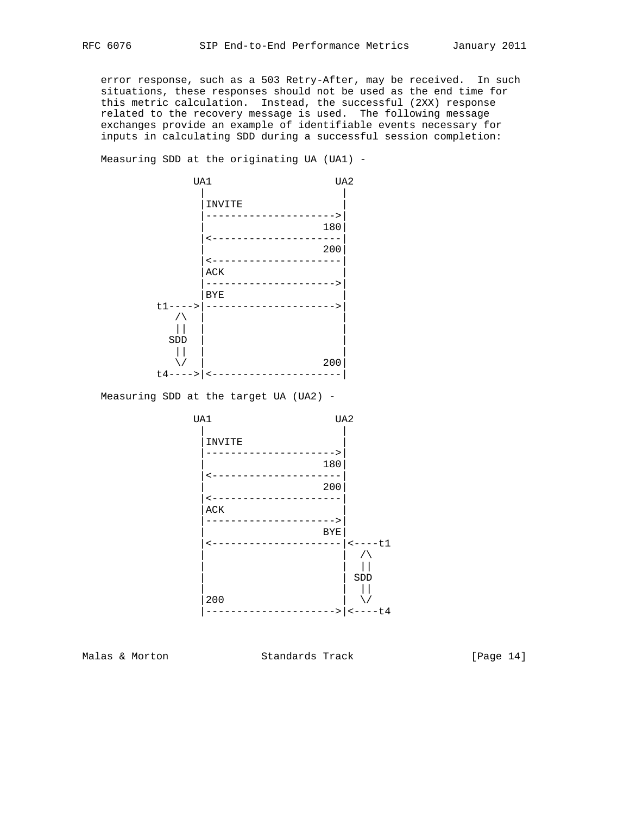error response, such as a 503 Retry-After, may be received. In such situations, these responses should not be used as the end time for this metric calculation. Instead, the successful (2XX) response related to the recovery message is used. The following message exchanges provide an example of identifiable events necessary for inputs in calculating SDD during a successful session completion:

Measuring SDD at the originating UA (UA1) -



Measuring SDD at the target UA (UA2) -



Malas & Morton **Standards Track** [Page 14]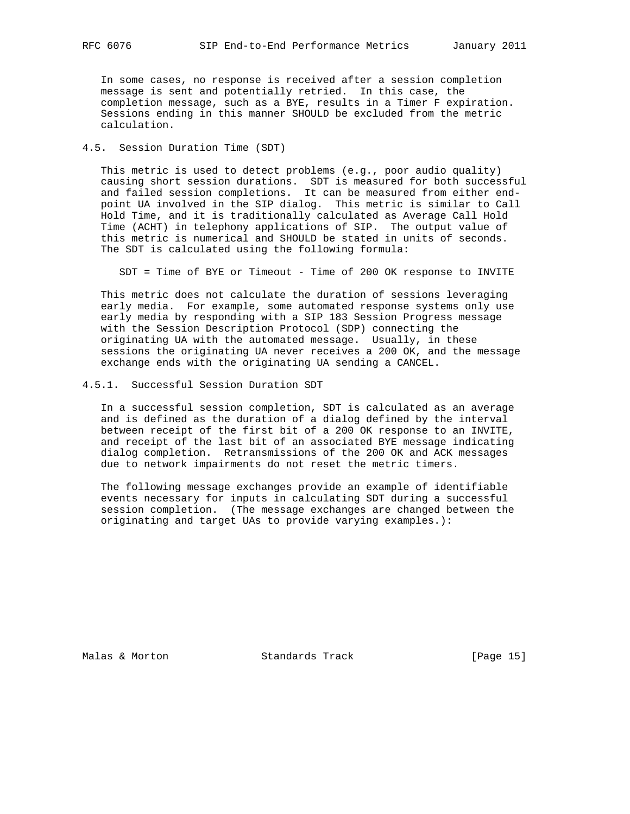In some cases, no response is received after a session completion message is sent and potentially retried. In this case, the completion message, such as a BYE, results in a Timer F expiration. Sessions ending in this manner SHOULD be excluded from the metric calculation.

## 4.5. Session Duration Time (SDT)

 This metric is used to detect problems (e.g., poor audio quality) causing short session durations. SDT is measured for both successful and failed session completions. It can be measured from either end point UA involved in the SIP dialog. This metric is similar to Call Hold Time, and it is traditionally calculated as Average Call Hold Time (ACHT) in telephony applications of SIP. The output value of this metric is numerical and SHOULD be stated in units of seconds. The SDT is calculated using the following formula:

SDT = Time of BYE or Timeout - Time of 200 OK response to INVITE

 This metric does not calculate the duration of sessions leveraging early media. For example, some automated response systems only use early media by responding with a SIP 183 Session Progress message with the Session Description Protocol (SDP) connecting the originating UA with the automated message. Usually, in these sessions the originating UA never receives a 200 OK, and the message exchange ends with the originating UA sending a CANCEL.

### 4.5.1. Successful Session Duration SDT

 In a successful session completion, SDT is calculated as an average and is defined as the duration of a dialog defined by the interval between receipt of the first bit of a 200 OK response to an INVITE, and receipt of the last bit of an associated BYE message indicating dialog completion. Retransmissions of the 200 OK and ACK messages due to network impairments do not reset the metric timers.

 The following message exchanges provide an example of identifiable events necessary for inputs in calculating SDT during a successful session completion. (The message exchanges are changed between the originating and target UAs to provide varying examples.):

Malas & Morton Standards Track [Page 15]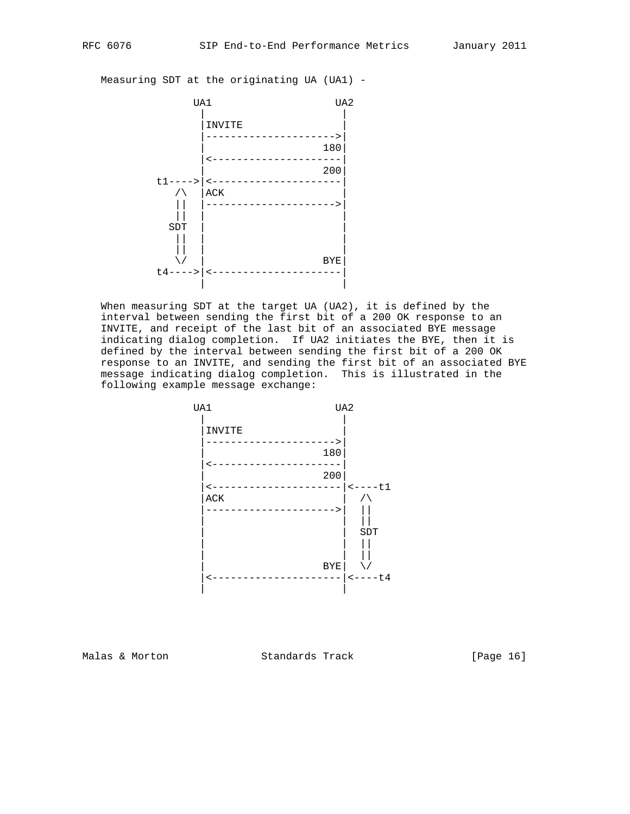Measuring SDT at the originating UA (UA1) -



 When measuring SDT at the target UA (UA2), it is defined by the interval between sending the first bit of a 200 OK response to an INVITE, and receipt of the last bit of an associated BYE message indicating dialog completion. If UA2 initiates the BYE, then it is defined by the interval between sending the first bit of a 200 OK response to an INVITE, and sending the first bit of an associated BYE message indicating dialog completion. This is illustrated in the following example message exchange:



Malas & Morton **Standards Track** [Page 16]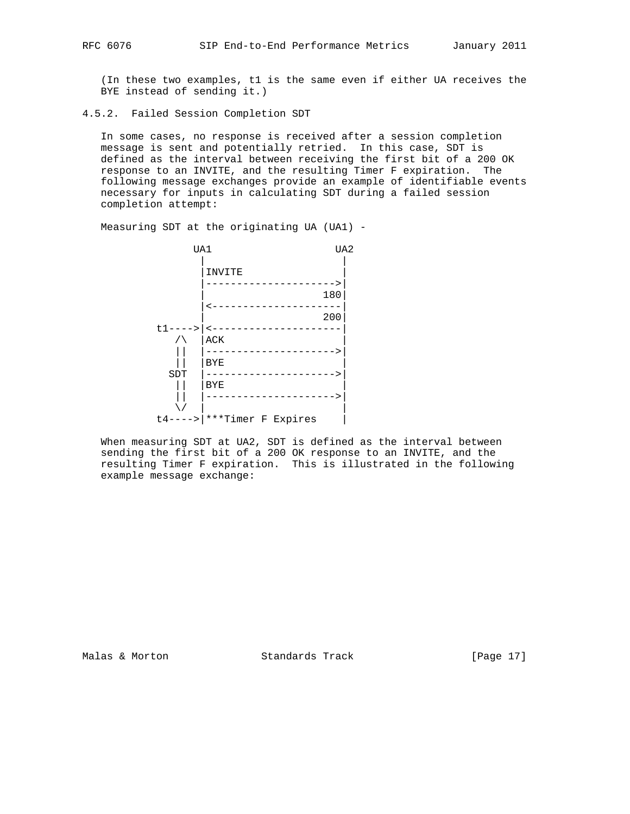(In these two examples, t1 is the same even if either UA receives the BYE instead of sending it.)

4.5.2. Failed Session Completion SDT

 In some cases, no response is received after a session completion message is sent and potentially retried. In this case, SDT is defined as the interval between receiving the first bit of a 200 OK response to an INVITE, and the resulting Timer F expiration. The following message exchanges provide an example of identifiable events necessary for inputs in calculating SDT during a failed session completion attempt:

Measuring SDT at the originating UA (UA1) -



 When measuring SDT at UA2, SDT is defined as the interval between sending the first bit of a 200 OK response to an INVITE, and the resulting Timer F expiration. This is illustrated in the following example message exchange:

Malas & Morton **Standards Track** [Page 17]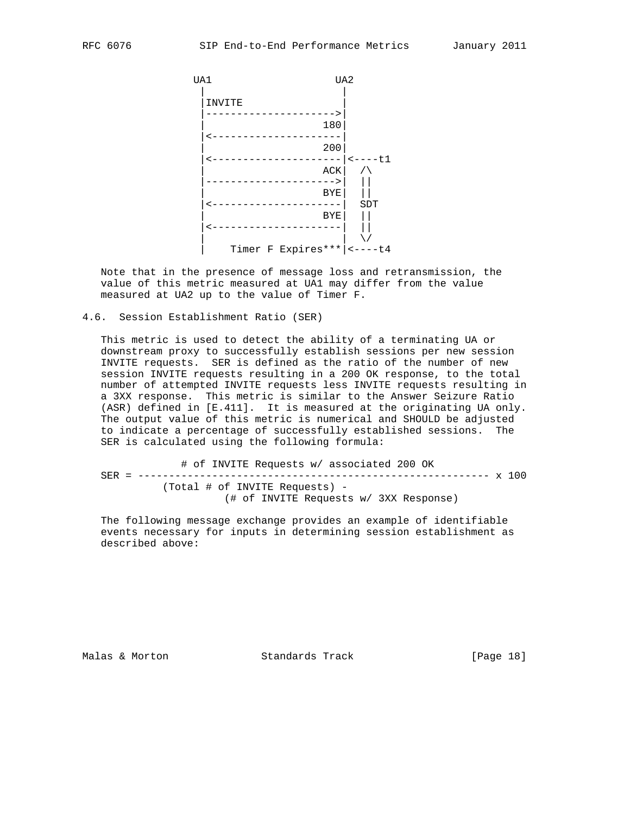

 Note that in the presence of message loss and retransmission, the value of this metric measured at UA1 may differ from the value measured at UA2 up to the value of Timer F.

4.6. Session Establishment Ratio (SER)

 This metric is used to detect the ability of a terminating UA or downstream proxy to successfully establish sessions per new session INVITE requests. SER is defined as the ratio of the number of new session INVITE requests resulting in a 200 OK response, to the total number of attempted INVITE requests less INVITE requests resulting in a 3XX response. This metric is similar to the Answer Seizure Ratio (ASR) defined in [E.411]. It is measured at the originating UA only. The output value of this metric is numerical and SHOULD be adjusted to indicate a percentage of successfully established sessions. The SER is calculated using the following formula:

 # of INVITE Requests w/ associated 200 OK SER = --------------------------------------------------------- x 100 (Total # of INVITE Requests) - (# of INVITE Requests w/ 3XX Response)

 The following message exchange provides an example of identifiable events necessary for inputs in determining session establishment as described above:

Malas & Morton Standards Track [Page 18]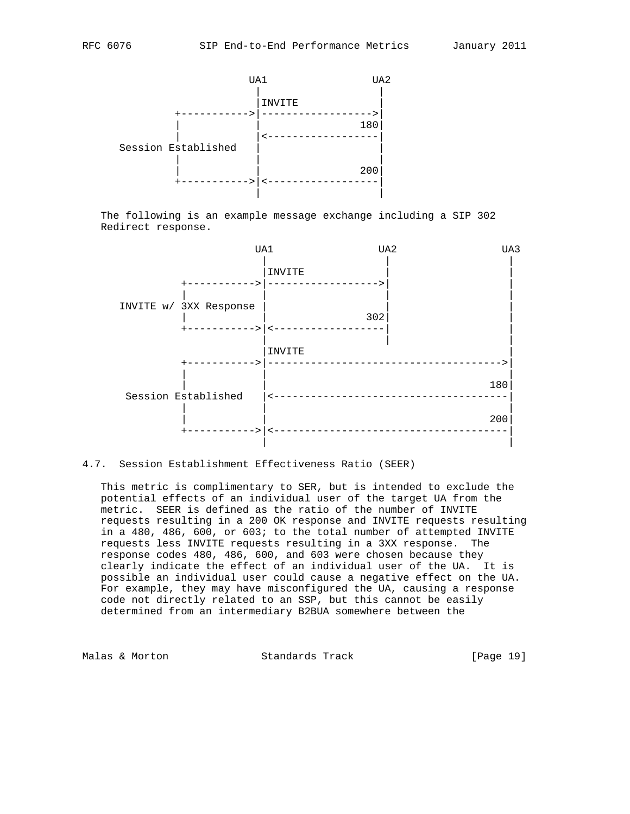



 The following is an example message exchange including a SIP 302 Redirect response.



## 4.7. Session Establishment Effectiveness Ratio (SEER)

 This metric is complimentary to SER, but is intended to exclude the potential effects of an individual user of the target UA from the metric. SEER is defined as the ratio of the number of INVITE requests resulting in a 200 OK response and INVITE requests resulting in a 480, 486, 600, or 603; to the total number of attempted INVITE requests less INVITE requests resulting in a 3XX response. The response codes 480, 486, 600, and 603 were chosen because they clearly indicate the effect of an individual user of the UA. It is possible an individual user could cause a negative effect on the UA. For example, they may have misconfigured the UA, causing a response code not directly related to an SSP, but this cannot be easily determined from an intermediary B2BUA somewhere between the

Malas & Morton **Standards Track** [Page 19]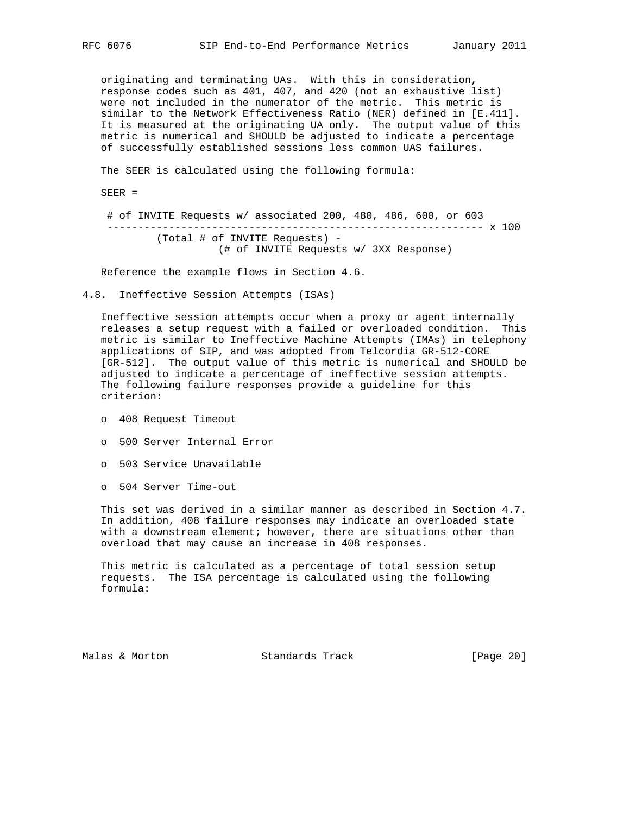originating and terminating UAs. With this in consideration, response codes such as 401, 407, and 420 (not an exhaustive list) were not included in the numerator of the metric. This metric is similar to the Network Effectiveness Ratio (NER) defined in [E.411]. It is measured at the originating UA only. The output value of this metric is numerical and SHOULD be adjusted to indicate a percentage of successfully established sessions less common UAS failures.

The SEER is calculated using the following formula:

SEER =

 # of INVITE Requests w/ associated 200, 480, 486, 600, or 603 ------------------------------------------------------------- x 100 (Total # of INVITE Requests) - (# of INVITE Requests w/ 3XX Response)

Reference the example flows in Section 4.6.

4.8. Ineffective Session Attempts (ISAs)

 Ineffective session attempts occur when a proxy or agent internally releases a setup request with a failed or overloaded condition. This metric is similar to Ineffective Machine Attempts (IMAs) in telephony applications of SIP, and was adopted from Telcordia GR-512-CORE [GR-512]. The output value of this metric is numerical and SHOULD be adjusted to indicate a percentage of ineffective session attempts. The following failure responses provide a guideline for this criterion:

- o 408 Request Timeout
- o 500 Server Internal Error
- o 503 Service Unavailable
- o 504 Server Time-out

 This set was derived in a similar manner as described in Section 4.7. In addition, 408 failure responses may indicate an overloaded state with a downstream element; however, there are situations other than overload that may cause an increase in 408 responses.

 This metric is calculated as a percentage of total session setup requests. The ISA percentage is calculated using the following formula:

Malas & Morton Standards Track [Page 20]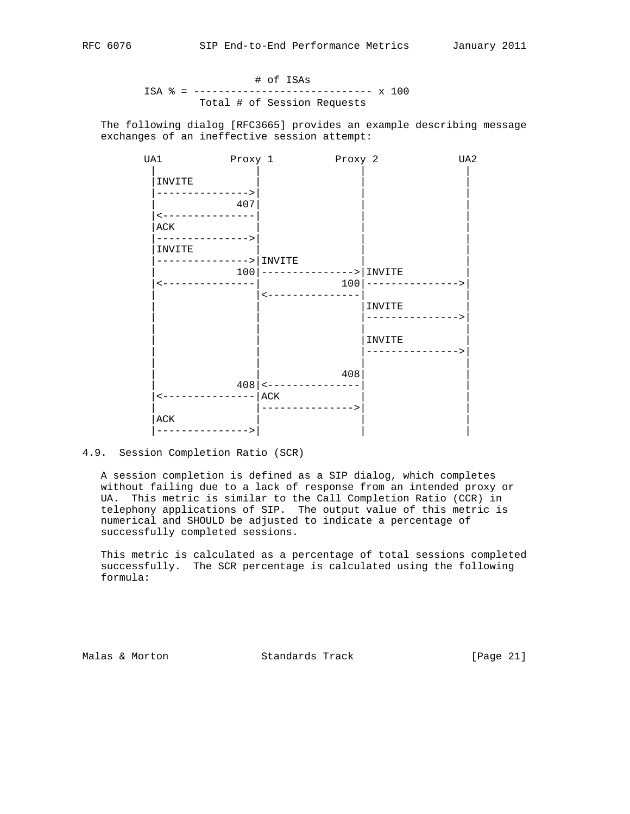## # of ISAs ISA % = ----------------------------- x 100 Total # of Session Requests

 The following dialog [RFC3665] provides an example describing message exchanges of an ineffective session attempt:



## 4.9. Session Completion Ratio (SCR)

 A session completion is defined as a SIP dialog, which completes without failing due to a lack of response from an intended proxy or UA. This metric is similar to the Call Completion Ratio (CCR) in telephony applications of SIP. The output value of this metric is numerical and SHOULD be adjusted to indicate a percentage of successfully completed sessions.

 This metric is calculated as a percentage of total sessions completed successfully. The SCR percentage is calculated using the following formula:

Malas & Morton **Standards Track** [Page 21]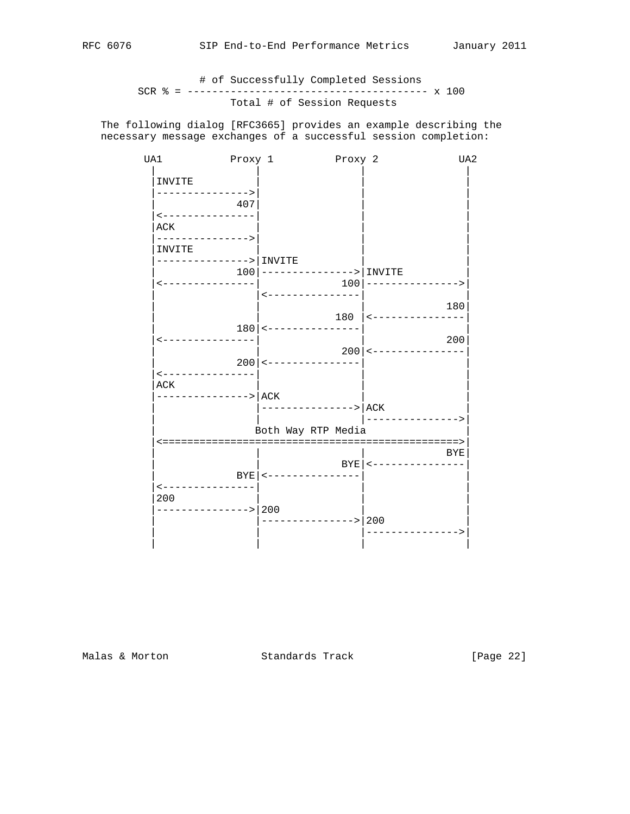# # of Successfully Completed Sessions SCR % = --------------------------------------- x 100 Total # of Session Requests

 The following dialog [RFC3665] provides an example describing the necessary message exchanges of a successful session completion:

| UA1                        | Proxy 1 |                                                    | Proxy 2 |                                      | UA <sub>2</sub> |
|----------------------------|---------|----------------------------------------------------|---------|--------------------------------------|-----------------|
| INVITE                     |         |                                                    |         |                                      |                 |
| ------------->             | 407     |                                                    |         |                                      |                 |
| <---------------<br>ACK    |         |                                                    |         |                                      |                 |
| ---------------><br>INVITE |         |                                                    |         |                                      |                 |
| -------------->   INVITE   |         |                                                    |         |                                      |                 |
| <---------------           |         | $100$   ---------------->   INVITE                 |         | $100$   ---------------->            |                 |
|                            |         | <---------------                                   |         |                                      |                 |
|                            |         |                                                    |         | $180$   $\leftarrow$ --------------- | 180             |
| ----------------           |         | $180$   $\leftarrow$ - - - - - - - - - - - - - - - |         |                                      | 200             |
|                            |         |                                                    |         | $200$   <---------------             |                 |
| <---------------           |         | $200$   <---------------                           |         |                                      |                 |
| ACK                        |         |                                                    |         |                                      |                 |
| --------------->   ACK     |         | $ $ ---------------> $ $ ACK                       |         |                                      |                 |
|                            |         |                                                    |         | ________________                     |                 |
|                            |         | Both Way RTP Media                                 |         |                                      |                 |
|                            |         |                                                    |         |                                      | BYE             |
|                            |         |                                                    |         | BYE   <---------------               |                 |
| ---------------            |         | BYE   <---------------                             |         |                                      |                 |
| 200                        |         |                                                    |         |                                      |                 |
| -------------> 200         |         | --------------> 200                                |         |                                      |                 |
|                            |         |                                                    |         | ------------->                       |                 |
|                            |         |                                                    |         |                                      |                 |

Malas & Morton **Standards Track** [Page 22]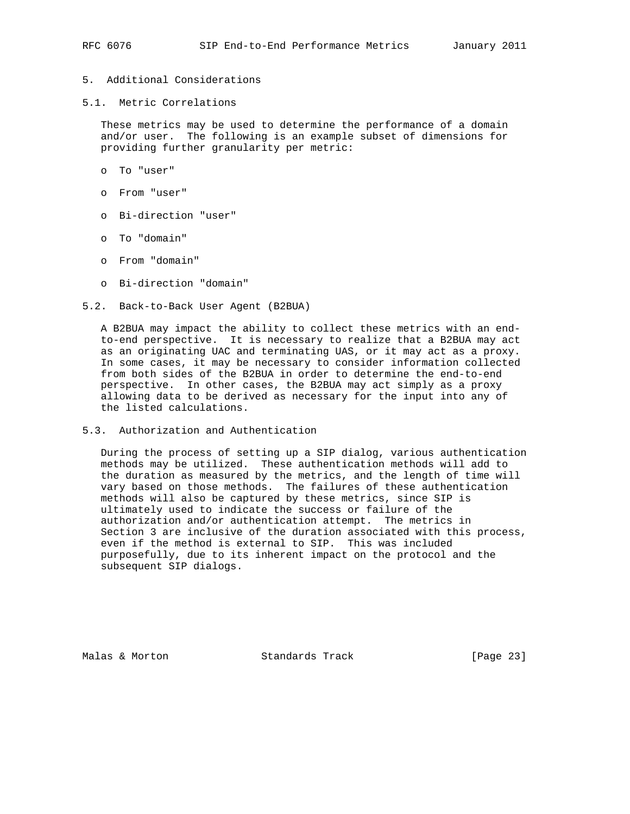- 5. Additional Considerations
- 5.1. Metric Correlations

 These metrics may be used to determine the performance of a domain and/or user. The following is an example subset of dimensions for providing further granularity per metric:

- o To "user"
- o From "user"
- o Bi-direction "user"
- o To "domain"
- o From "domain"
- o Bi-direction "domain"
- 5.2. Back-to-Back User Agent (B2BUA)

 A B2BUA may impact the ability to collect these metrics with an end to-end perspective. It is necessary to realize that a B2BUA may act as an originating UAC and terminating UAS, or it may act as a proxy. In some cases, it may be necessary to consider information collected from both sides of the B2BUA in order to determine the end-to-end perspective. In other cases, the B2BUA may act simply as a proxy allowing data to be derived as necessary for the input into any of the listed calculations.

5.3. Authorization and Authentication

 During the process of setting up a SIP dialog, various authentication methods may be utilized. These authentication methods will add to the duration as measured by the metrics, and the length of time will vary based on those methods. The failures of these authentication methods will also be captured by these metrics, since SIP is ultimately used to indicate the success or failure of the authorization and/or authentication attempt. The metrics in Section 3 are inclusive of the duration associated with this process, even if the method is external to SIP. This was included purposefully, due to its inherent impact on the protocol and the subsequent SIP dialogs.

Malas & Morton **Standards Track** [Page 23]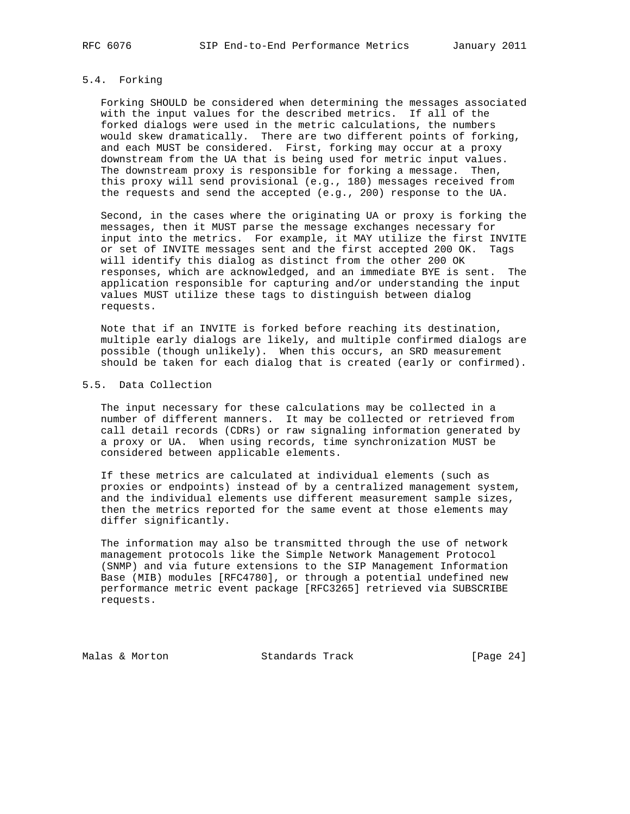## 5.4. Forking

 Forking SHOULD be considered when determining the messages associated with the input values for the described metrics. If all of the forked dialogs were used in the metric calculations, the numbers would skew dramatically. There are two different points of forking, and each MUST be considered. First, forking may occur at a proxy downstream from the UA that is being used for metric input values. The downstream proxy is responsible for forking a message. Then, this proxy will send provisional (e.g., 180) messages received from the requests and send the accepted (e.g., 200) response to the UA.

 Second, in the cases where the originating UA or proxy is forking the messages, then it MUST parse the message exchanges necessary for input into the metrics. For example, it MAY utilize the first INVITE or set of INVITE messages sent and the first accepted 200 OK. Tags will identify this dialog as distinct from the other 200 OK responses, which are acknowledged, and an immediate BYE is sent. The application responsible for capturing and/or understanding the input values MUST utilize these tags to distinguish between dialog requests.

 Note that if an INVITE is forked before reaching its destination, multiple early dialogs are likely, and multiple confirmed dialogs are possible (though unlikely). When this occurs, an SRD measurement should be taken for each dialog that is created (early or confirmed).

### 5.5. Data Collection

 The input necessary for these calculations may be collected in a number of different manners. It may be collected or retrieved from call detail records (CDRs) or raw signaling information generated by a proxy or UA. When using records, time synchronization MUST be considered between applicable elements.

 If these metrics are calculated at individual elements (such as proxies or endpoints) instead of by a centralized management system, and the individual elements use different measurement sample sizes, then the metrics reported for the same event at those elements may differ significantly.

 The information may also be transmitted through the use of network management protocols like the Simple Network Management Protocol (SNMP) and via future extensions to the SIP Management Information Base (MIB) modules [RFC4780], or through a potential undefined new performance metric event package [RFC3265] retrieved via SUBSCRIBE requests.

Malas & Morton Standards Track [Page 24]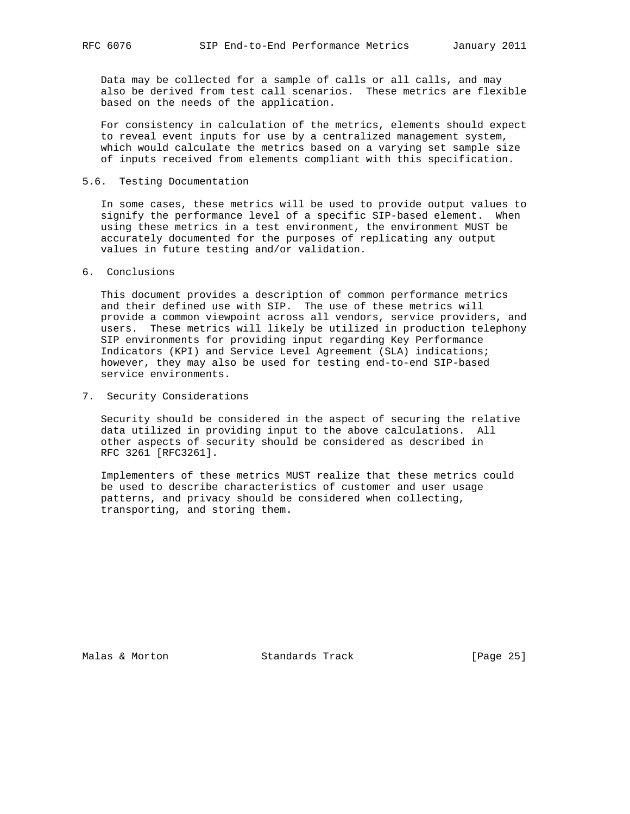Data may be collected for a sample of calls or all calls, and may also be derived from test call scenarios. These metrics are flexible based on the needs of the application.

 For consistency in calculation of the metrics, elements should expect to reveal event inputs for use by a centralized management system, which would calculate the metrics based on a varying set sample size of inputs received from elements compliant with this specification.

## 5.6. Testing Documentation

 In some cases, these metrics will be used to provide output values to signify the performance level of a specific SIP-based element. When using these metrics in a test environment, the environment MUST be accurately documented for the purposes of replicating any output values in future testing and/or validation.

### 6. Conclusions

 This document provides a description of common performance metrics and their defined use with SIP. The use of these metrics will provide a common viewpoint across all vendors, service providers, and users. These metrics will likely be utilized in production telephony SIP environments for providing input regarding Key Performance Indicators (KPI) and Service Level Agreement (SLA) indications; however, they may also be used for testing end-to-end SIP-based service environments.

7. Security Considerations

 Security should be considered in the aspect of securing the relative data utilized in providing input to the above calculations. All other aspects of security should be considered as described in RFC 3261 [RFC3261].

 Implementers of these metrics MUST realize that these metrics could be used to describe characteristics of customer and user usage patterns, and privacy should be considered when collecting, transporting, and storing them.

Malas & Morton **Standards Track** [Page 25]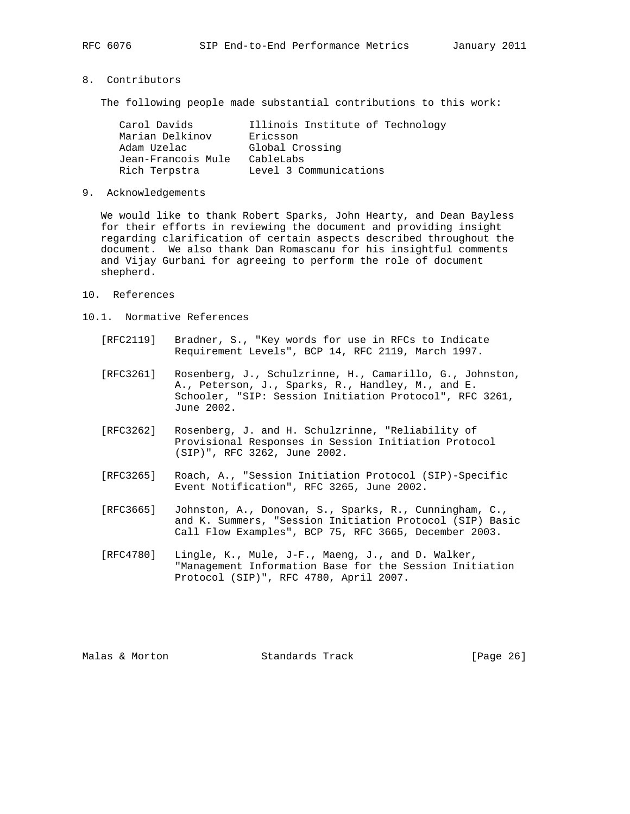#### 8. Contributors

The following people made substantial contributions to this work:

| Carol Davids       | Illinois Institute of Technology |
|--------------------|----------------------------------|
| Marian Delkinov    | Ericsson                         |
| Adam Uzelac        | Global Crossing                  |
| Jean-Francois Mule | CableLabs                        |
| Rich Terpstra      | Level 3 Communications           |

9. Acknowledgements

 We would like to thank Robert Sparks, John Hearty, and Dean Bayless for their efforts in reviewing the document and providing insight regarding clarification of certain aspects described throughout the document. We also thank Dan Romascanu for his insightful comments and Vijay Gurbani for agreeing to perform the role of document shepherd.

- 10. References
- 10.1. Normative References
	- [RFC2119] Bradner, S., "Key words for use in RFCs to Indicate Requirement Levels", BCP 14, RFC 2119, March 1997.
	- [RFC3261] Rosenberg, J., Schulzrinne, H., Camarillo, G., Johnston, A., Peterson, J., Sparks, R., Handley, M., and E. Schooler, "SIP: Session Initiation Protocol", RFC 3261, June 2002.
	- [RFC3262] Rosenberg, J. and H. Schulzrinne, "Reliability of Provisional Responses in Session Initiation Protocol (SIP)", RFC 3262, June 2002.
	- [RFC3265] Roach, A., "Session Initiation Protocol (SIP)-Specific Event Notification", RFC 3265, June 2002.
	- [RFC3665] Johnston, A., Donovan, S., Sparks, R., Cunningham, C., and K. Summers, "Session Initiation Protocol (SIP) Basic Call Flow Examples", BCP 75, RFC 3665, December 2003.
	- [RFC4780] Lingle, K., Mule, J-F., Maeng, J., and D. Walker, "Management Information Base for the Session Initiation Protocol (SIP)", RFC 4780, April 2007.

Malas & Morton **Standards Track** [Page 26]